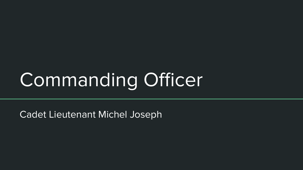# Commanding Officer

Cadet Lieutenant Michel Joseph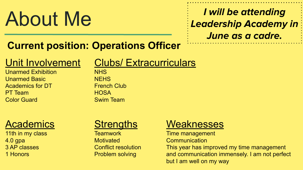# About Me

# **I will be attending Leadership Academy in June as a cadre.**

# **Current position: Operations Officer**

# Unit Involvement

Unarmed Exhibition Unarmed Basic Academics for DT PT Team Color Guard

## **Academics**

11th in my class 4.0 gpa 3 AP classes 1 Honors

### **Strengths**

**Teamwork Motivated** Conflict resolution Problem solving

## **Weaknesses**

Time management

**Communication** 

This year has improved my time management and communication immensely. I am not perfect but I am well on my way

# Clubs/ Extracurriculars

NHS **NFHS** French Club **HOSA** Swim Team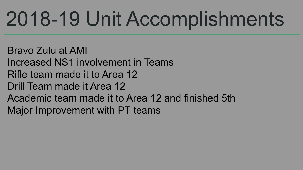# 2018-19 Unit Accomplishments

Bravo Zulu at AMI Increased NS1 involvement in Teams Rifle team made it to Area 12 Drill Team made it Area 12 Academic team made it to Area 12 and finished 5th Major Improvement with PT teams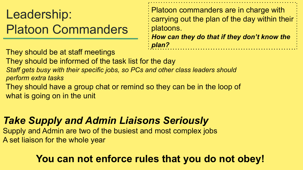Leadership: Platoon Commanders Platoon commanders are in charge with carrying out the plan of the day within their platoons. *How can they do that if they don't know the* 

They should be at staff meetings

They should be informed of the task list for the day

*Staff gets busy with their specific jobs, so PCs and other class leaders should perform extra tasks*

They should have a group chat or remind so they can be in the loop of what is going on in the unit

*Take Supply and Admin Liaisons Seriously*

Supply and Admin are two of the busiest and most complex jobs A set liaison for the whole year

## **You can not enforce rules that you do not obey!**

*plan?*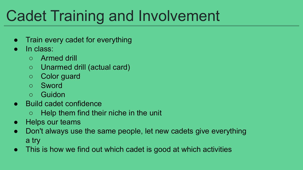# Cadet Training and Involvement

- Train every cadet for everything
- In class:
	- Armed drill
	- Unarmed drill (actual card)
	- Color guard
	- Sword
	- Guidon
- Build cadet confidence
	- Help them find their niche in the unit
- Helps our teams
- Don't always use the same people, let new cadets give everything a try
- This is how we find out which cadet is good at which activities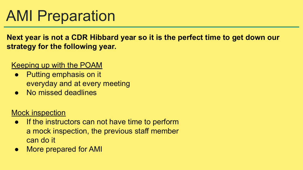# AMI Preparation

**Next year is not a CDR Hibbard year so it is the perfect time to get down our strategy for the following year.**

#### Keeping up with the POAM

- Putting emphasis on it everyday and at every meeting
- No missed deadlines

#### Mock inspection

- If the instructors can not have time to perform a mock inspection, the previous staff member can do it
- More prepared for AMI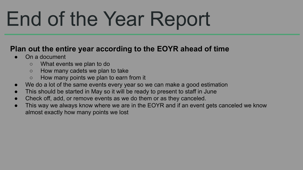# End of the Year Report

#### **Plan out the entire year according to the EOYR ahead of time**

- On a document
	- What events we plan to do
	- How many cadets we plan to take
	- How many points we plan to earn from it
- We do a lot of the same events every year so we can make a good estimation
- This should be started in May so it will be ready to present to staff in June
- Check off, add, or remove events as we do them or as they canceled.
- This way we always know where we are in the EOYR and if an event gets canceled we know almost exactly how many points we lost